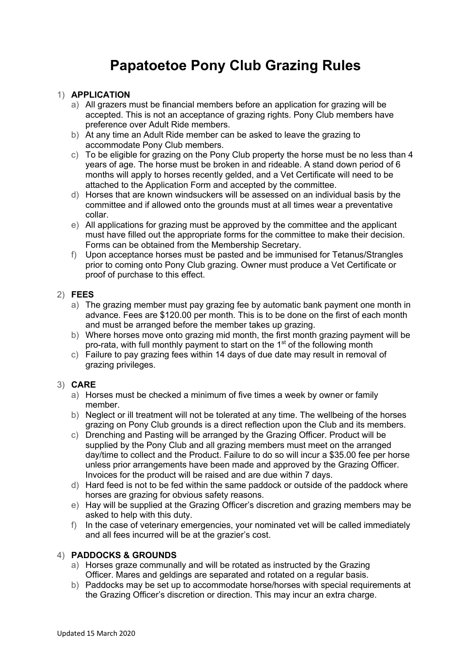# **Papatoetoe Pony Club Grazing Rules**

## 1) **APPLICATION**

- a) All grazers must be financial members before an application for grazing will be accepted. This is not an acceptance of grazing rights. Pony Club members have preference over Adult Ride members.
- b) At any time an Adult Ride member can be asked to leave the grazing to accommodate Pony Club members.
- c) To be eligible for grazing on the Pony Club property the horse must be no less than 4 years of age. The horse must be broken in and rideable. A stand down period of 6 months will apply to horses recently gelded, and a Vet Certificate will need to be attached to the Application Form and accepted by the committee.
- d) Horses that are known windsuckers will be assessed on an individual basis by the committee and if allowed onto the grounds must at all times wear a preventative collar.
- e) All applications for grazing must be approved by the committee and the applicant must have filled out the appropriate forms for the committee to make their decision. Forms can be obtained from the Membership Secretary.
- f) Upon acceptance horses must be pasted and be immunised for Tetanus/Strangles prior to coming onto Pony Club grazing. Owner must produce a Vet Certificate or proof of purchase to this effect.

## 2) **FEES**

- a) The grazing member must pay grazing fee by automatic bank payment one month in advance. Fees are \$120.00 per month. This is to be done on the first of each month and must be arranged before the member takes up grazing.
- b) Where horses move onto grazing mid month, the first month grazing payment will be pro-rata, with full monthly payment to start on the 1<sup>st</sup> of the following month
- c) Failure to pay grazing fees within 14 days of due date may result in removal of grazing privileges.

## 3) **CARE**

- a) Horses must be checked a minimum of five times a week by owner or family member.
- b) Neglect or ill treatment will not be tolerated at any time. The wellbeing of the horses grazing on Pony Club grounds is a direct reflection upon the Club and its members.
- c) Drenching and Pasting will be arranged by the Grazing Officer. Product will be supplied by the Pony Club and all grazing members must meet on the arranged day/time to collect and the Product. Failure to do so will incur a \$35.00 fee per horse unless prior arrangements have been made and approved by the Grazing Officer. Invoices for the product will be raised and are due within 7 days.
- d) Hard feed is not to be fed within the same paddock or outside of the paddock where horses are grazing for obvious safety reasons.
- e) Hay will be supplied at the Grazing Officer's discretion and grazing members may be asked to help with this duty.
- f) In the case of veterinary emergencies, your nominated vet will be called immediately and all fees incurred will be at the grazier's cost.

## 4) **PADDOCKS & GROUNDS**

- a) Horses graze communally and will be rotated as instructed by the Grazing Officer. Mares and geldings are separated and rotated on a regular basis.
- b) Paddocks may be set up to accommodate horse/horses with special requirements at the Grazing Officer's discretion or direction. This may incur an extra charge.